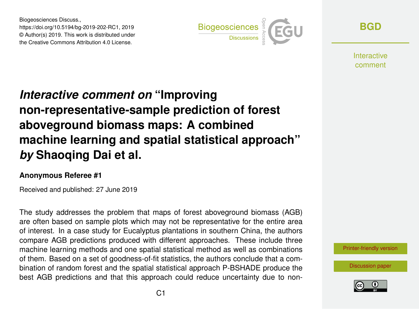Biogeosciences Discuss., https://doi.org/10.5194/bg-2019-202-RC1, 2019 © Author(s) 2019. This work is distributed under the Creative Commons Attribution 4.0 License.



**[BGD](https://www.biogeosciences-discuss.net/)**

**Interactive** comment

## *Interactive comment on* **"Improving non-representative-sample prediction of forest aboveground biomass maps: A combined machine learning and spatial statistical approach"** *by* **Shaoqing Dai et al.**

## **Anonymous Referee #1**

Received and published: 27 June 2019

The study addresses the problem that maps of forest aboveground biomass (AGB) are often based on sample plots which may not be representative for the entire area of interest. In a case study for Eucalyptus plantations in southern China, the authors compare AGB predictions produced with different approaches. These include three machine learning methods and one spatial statistical method as well as combinations of them. Based on a set of goodness-of-fit statistics, the authors conclude that a combination of random forest and the spatial statistical approach P-BSHADE produce the best AGB predictions and that this approach could reduce uncertainty due to non-

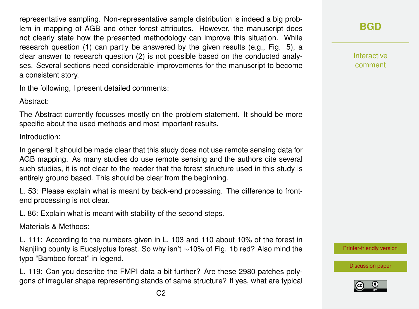representative sampling. Non-representative sample distribution is indeed a big problem in mapping of AGB and other forest attributes. However, the manuscript does not clearly state how the presented methodology can improve this situation. While research question (1) can partly be answered by the given results (e.g., Fig. 5), a clear answer to research question (2) is not possible based on the conducted analyses. Several sections need considerable improvements for the manuscript to become a consistent story.

In the following, I present detailed comments:

Abstract:

The Abstract currently focusses mostly on the problem statement. It should be more specific about the used methods and most important results.

Introduction:

In general it should be made clear that this study does not use remote sensing data for AGB mapping. As many studies do use remote sensing and the authors cite several such studies, it is not clear to the reader that the forest structure used in this study is entirely ground based. This should be clear from the beginning.

L. 53: Please explain what is meant by back-end processing. The difference to frontend processing is not clear.

L. 86: Explain what is meant with stability of the second steps.

Materials & Methods:

L. 111: According to the numbers given in L. 103 and 110 about 10% of the forest in Nanjiing county is Eucalyptus forest. So why isn't ∼10% of Fig. 1b red? Also mind the typo "Bamboo foreat" in legend.

L. 119: Can you describe the FMPI data a bit further? Are these 2980 patches polygons of irregular shape representing stands of same structure? If yes, what are typical **[BGD](https://www.biogeosciences-discuss.net/)**

Interactive comment

[Printer-friendly version](https://www.biogeosciences-discuss.net/bg-2019-202/bg-2019-202-RC1-print.pdf)

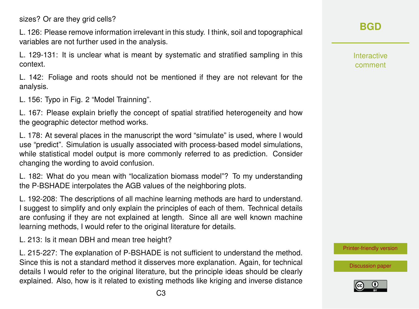sizes? Or are they grid cells?

L. 126: Please remove information irrelevant in this study. I think, soil and topographical variables are not further used in the analysis.

L. 129-131: It is unclear what is meant by systematic and stratified sampling in this context.

L. 142: Foliage and roots should not be mentioned if they are not relevant for the analysis.

L. 156: Typo in Fig. 2 "Model Trainning".

L. 167: Please explain briefly the concept of spatial stratified heterogeneity and how the geographic detector method works.

L. 178: At several places in the manuscript the word "simulate" is used, where I would use "predict". Simulation is usually associated with process-based model simulations, while statistical model output is more commonly referred to as prediction. Consider changing the wording to avoid confusion.

L. 182: What do you mean with "localization biomass model"? To my understanding the P-BSHADE interpolates the AGB values of the neighboring plots.

L. 192-208: The descriptions of all machine learning methods are hard to understand. I suggest to simplify and only explain the principles of each of them. Technical details are confusing if they are not explained at length. Since all are well known machine learning methods, I would refer to the original literature for details.

L. 213: Is it mean DBH and mean tree height?

L. 215-227: The explanation of P-BSHADE is not sufficient to understand the method. Since this is not a standard method it disserves more explanation. Again, for technical details I would refer to the original literature, but the principle ideas should be clearly explained. Also, how is it related to existing methods like kriging and inverse distance Interactive comment

[Printer-friendly version](https://www.biogeosciences-discuss.net/bg-2019-202/bg-2019-202-RC1-print.pdf)

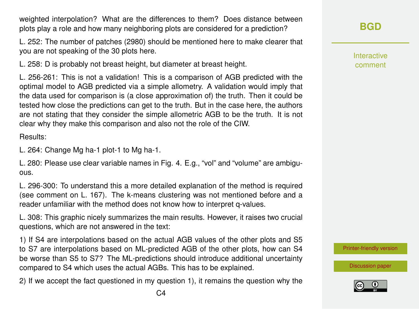weighted interpolation? What are the differences to them? Does distance between plots play a role and how many neighboring plots are considered for a prediction?

L. 252: The number of patches (2980) should be mentioned here to make clearer that you are not speaking of the 30 plots here.

L. 258: D is probably not breast height, but diameter at breast height.

L. 256-261: This is not a validation! This is a comparison of AGB predicted with the optimal model to AGB predicted via a simple allometry. A validation would imply that the data used for comparison is (a close approximation of) the truth. Then it could be tested how close the predictions can get to the truth. But in the case here, the authors are not stating that they consider the simple allometric AGB to be the truth. It is not clear why they make this comparison and also not the role of the CIW.

Results:

L. 264: Change Mg ha-1 plot-1 to Mg ha-1.

L. 280: Please use clear variable names in Fig. 4. E.g., "vol" and "volume" are ambiguous.

L. 296-300: To understand this a more detailed explanation of the method is required (see comment on L. 167). The k-means clustering was not mentioned before and a reader unfamiliar with the method does not know how to interpret q-values.

L. 308: This graphic nicely summarizes the main results. However, it raises two crucial questions, which are not answered in the text:

1) If S4 are interpolations based on the actual AGB values of the other plots and S5 to S7 are interpolations based on ML-predicted AGB of the other plots, how can S4 be worse than S5 to S7? The ML-predictions should introduce additional uncertainty compared to S4 which uses the actual AGBs. This has to be explained.

2) If we accept the fact questioned in my question 1), it remains the question why the

Interactive comment

[Printer-friendly version](https://www.biogeosciences-discuss.net/bg-2019-202/bg-2019-202-RC1-print.pdf)

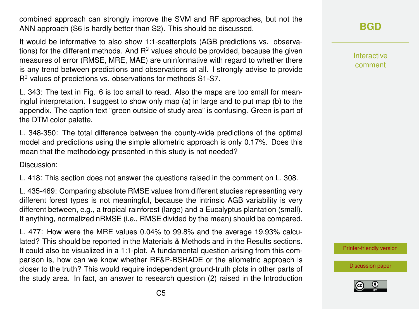combined approach can strongly improve the SVM and RF approaches, but not the ANN approach (S6 is hardly better than S2). This should be discussed.

It would be informative to also show 1:1-scatterplots (AGB predictions vs. observations) for the different methods. And  $R<sup>2</sup>$  values should be provided, because the given measures of error (RMSE, MRE, MAE) are uninformative with regard to whether there is any trend between predictions and observations at all. I strongly advise to provide  $R<sup>2</sup>$  values of predictions vs. observations for methods S1-S7.

L. 343: The text in Fig. 6 is too small to read. Also the maps are too small for meaningful interpretation. I suggest to show only map (a) in large and to put map (b) to the appendix. The caption text "green outside of study area" is confusing. Green is part of the DTM color palette.

L. 348-350: The total difference between the county-wide predictions of the optimal model and predictions using the simple allometric approach is only 0.17%. Does this mean that the methodology presented in this study is not needed?

Discussion:

L. 418: This section does not answer the questions raised in the comment on L. 308.

L. 435-469: Comparing absolute RMSE values from different studies representing very different forest types is not meaningful, because the intrinsic AGB variability is very different between, e.g., a tropical rainforest (large) and a Eucalyptus plantation (small). If anything, normalized nRMSE (i.e., RMSE divided by the mean) should be compared.

L. 477: How were the MRE values 0.04% to 99.8% and the average 19.93% calculated? This should be reported in the Materials & Methods and in the Results sections. It could also be visualized in a 1:1-plot. A fundamental question arising from this comparison is, how can we know whether RF&P-BSHADE or the allometric approach is closer to the truth? This would require independent ground-truth plots in other parts of the study area. In fact, an answer to research question (2) raised in the Introduction **[BGD](https://www.biogeosciences-discuss.net/)**

Interactive comment

[Printer-friendly version](https://www.biogeosciences-discuss.net/bg-2019-202/bg-2019-202-RC1-print.pdf)